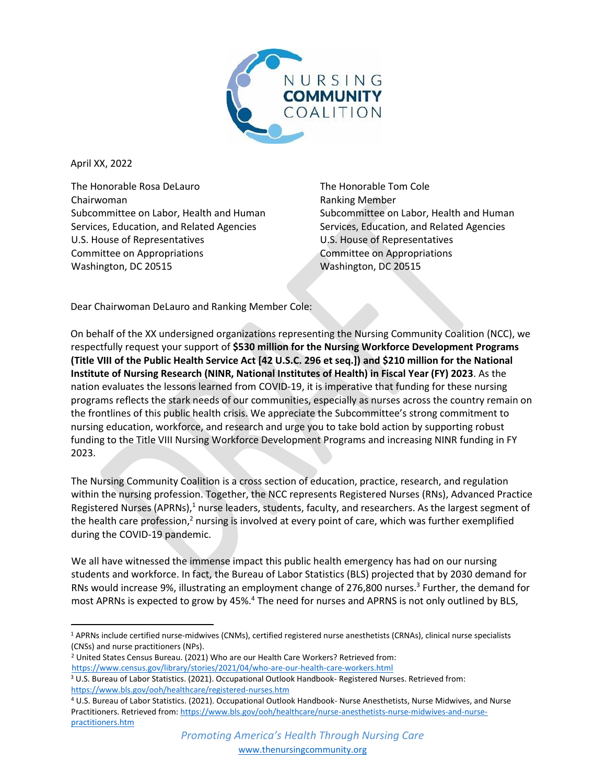

April XX, 2022

The Honorable Rosa DeLauro Chairwoman Subcommittee on Labor, Health and Human Services, Education, and Related Agencies U.S. House of Representatives Committee on Appropriations Washington, DC 20515

The Honorable Tom Cole Ranking Member Subcommittee on Labor, Health and Human Services, Education, and Related Agencies U.S. House of Representatives Committee on Appropriations Washington, DC 20515

Dear Chairwoman DeLauro and Ranking Member Cole:

On behalf of the XX undersigned organizations representing the Nursing Community Coalition (NCC), we respectfully request your support of **\$530 million for the Nursing Workforce Development Programs (Title VIII of the Public Health Service Act [42 U.S.C. 296 et seq.]) and \$210 million for the National Institute of Nursing Research (NINR, National Institutes of Health) in Fiscal Year (FY) 2023**. As the nation evaluates the lessons learned from COVID-19, it is imperative that funding for these nursing programs reflects the stark needs of our communities, especially as nurses across the country remain on the frontlines of this public health crisis. We appreciate the Subcommittee's strong commitment to nursing education, workforce, and research and urge you to take bold action by supporting robust funding to the Title VIII Nursing Workforce Development Programs and increasing NINR funding in FY 2023.

The Nursing Community Coalition is a cross section of education, practice, research, and regulation within the nursing profession. Together, the NCC represents Registered Nurses (RNs), Advanced Practice Registered Nurses (APRNs),<sup>1</sup> nurse leaders, students, faculty, and researchers. As the largest segment of the health care profession,<sup>2</sup> nursing is involved at every point of care, which was further exemplified during the COVID-19 pandemic.

We all have witnessed the immense impact this public health emergency has had on our nursing students and workforce. In fact, the Bureau of Labor Statistics (BLS) projected that by 2030 demand for RNs would increase 9%, illustrating an employment change of 276,800 nurses. 3 Further, the demand for most APRNs is expected to grow by 45%.<sup>4</sup> The need for nurses and APRNS is not only outlined by BLS,

<sup>2</sup> United States Census Bureau. (2021) Who are our Health Care Workers? Retrieved from:

<https://www.census.gov/library/stories/2021/04/who-are-our-health-care-workers.html>

<sup>1</sup> APRNs include certified nurse-midwives (CNMs), certified registered nurse anesthetists (CRNAs), clinical nurse specialists (CNSs) and nurse practitioners (NPs).

<sup>3</sup> U.S. Bureau of Labor Statistics. (2021). Occupational Outlook Handbook- Registered Nurses. Retrieved from: <https://www.bls.gov/ooh/healthcare/registered-nurses.htm>

<sup>4</sup> U.S. Bureau of Labor Statistics. (2021). Occupational Outlook Handbook- Nurse Anesthetists, Nurse Midwives, and Nurse Practitioners. Retrieved from[: https://www.bls.gov/ooh/healthcare/nurse-anesthetists-nurse-midwives-and-nurse](https://www.bls.gov/ooh/healthcare/nurse-anesthetists-nurse-midwives-and-nurse-practitioners.htm)[practitioners.htm](https://www.bls.gov/ooh/healthcare/nurse-anesthetists-nurse-midwives-and-nurse-practitioners.htm)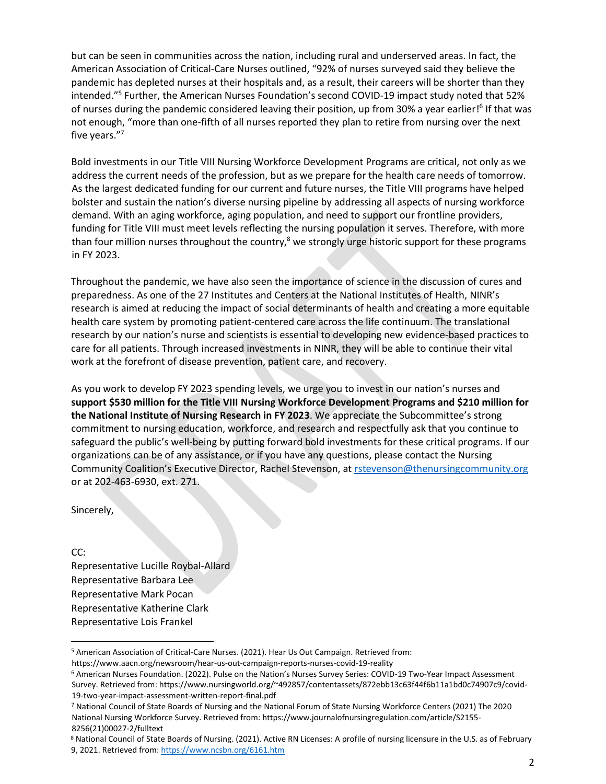but can be seen in communities across the nation, including rural and underserved areas. In fact, the American Association of Critical-Care Nurses outlined, "92% of nurses surveyed said they believe the pandemic has depleted nurses at their hospitals and, as a result, their careers will be shorter than they intended."<sup>5</sup> Further, the American Nurses Foundation's second COVID-19 impact study noted that 52% of nurses during the pandemic considered leaving their position, up from 30% a year earlier!<sup>6</sup> If that was not enough, "more than one-fifth of all nurses reported they plan to retire from nursing over the next five years." 7

Bold investments in our Title VIII Nursing Workforce Development Programs are critical, not only as we address the current needs of the profession, but as we prepare for the health care needs of tomorrow. As the largest dedicated funding for our current and future nurses, the Title VIII programs have helped bolster and sustain the nation's diverse nursing pipeline by addressing all aspects of nursing workforce demand. With an aging workforce, aging population, and need to support our frontline providers, funding for Title VIII must meet levels reflecting the nursing population it serves. Therefore, with more than four million nurses throughout the country, $8$  we strongly urge historic support for these programs in FY 2023.

Throughout the pandemic, we have also seen the importance of science in the discussion of cures and preparedness. As one of the 27 Institutes and Centers at the National Institutes of Health, NINR's research is aimed at reducing the impact of social determinants of health and creating a more equitable health care system by promoting patient-centered care across the life continuum. The translational research by our nation's nurse and scientists is essential to developing new evidence-based practices to care for all patients. Through increased investments in NINR, they will be able to continue their vital work at the forefront of disease prevention, patient care, and recovery.

As you work to develop FY 2023 spending levels, we urge you to invest in our nation's nurses and **support \$530 million for the Title VIII Nursing Workforce Development Programs and \$210 million for the National Institute of Nursing Research in FY 2023**. We appreciate the Subcommittee's strong commitment to nursing education, workforce, and research and respectfully ask that you continue to safeguard the public's well-being by putting forward bold investments for these critical programs. If our organizations can be of any assistance, or if you have any questions, please contact the Nursing Community Coalition's Executive Director, Rachel Stevenson, at rstevenson@thenursingcommunity.org or at 202-463-6930, ext. 271.

Sincerely,

## CC:

Representative Lucille Roybal-Allard Representative Barbara Lee Representative Mark Pocan Representative Katherine Clark Representative Lois Frankel

<sup>5</sup> American Association of Critical-Care Nurses. (2021). Hear Us Out Campaign. Retrieved from:

https://www.aacn.org/newsroom/hear-us-out-campaign-reports-nurses-covid-19-reality

<sup>6</sup> American Nurses Foundation. (2022). Pulse on the Nation's Nurses Survey Series: COVID-19 Two-Year Impact Assessment Survey. Retrieved from: https://www.nursingworld.org/~492857/contentassets/872ebb13c63f44f6b11a1bd0c74907c9/covid-19-two-year-impact-assessment-written-report-final.pdf

<sup>7</sup> National Council of State Boards of Nursing and the National Forum of State Nursing Workforce Centers (2021) The 2020 National Nursing Workforce Survey. Retrieved from: https://www.journalofnursingregulation.com/article/S2155- 8256(21)00027-2/fulltext

<sup>8</sup> National Council of State Boards of Nursing. (2021). Active RN Licenses: A profile of nursing licensure in the U.S. as of February 9, 2021. Retrieved from:<https://www.ncsbn.org/6161.htm>